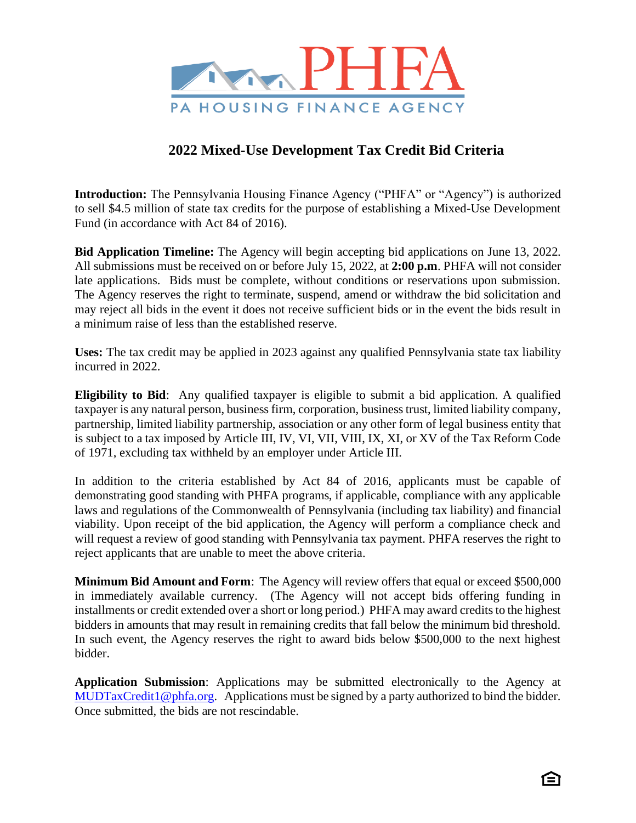

## **2022 Mixed-Use Development Tax Credit Bid Criteria**

**Introduction:** The Pennsylvania Housing Finance Agency ("PHFA" or "Agency") is authorized to sell \$4.5 million of state tax credits for the purpose of establishing a Mixed-Use Development Fund (in accordance with Act 84 of 2016).

**Bid Application Timeline:** The Agency will begin accepting bid applications on June 13, 2022. All submissions must be received on or before July 15, 2022, at **2:00 p.m**. PHFA will not consider late applications. Bids must be complete, without conditions or reservations upon submission. The Agency reserves the right to terminate, suspend, amend or withdraw the bid solicitation and may reject all bids in the event it does not receive sufficient bids or in the event the bids result in a minimum raise of less than the established reserve.

**Uses:** The tax credit may be applied in 2023 against any qualified Pennsylvania state tax liability incurred in 2022.

**Eligibility to Bid**: Any qualified taxpayer is eligible to submit a bid application. A qualified taxpayer is any natural person, business firm, corporation, business trust, limited liability company, partnership, limited liability partnership, association or any other form of legal business entity that is subject to a tax imposed by Article III, IV, VI, VII, VIII, IX, XI, or XV of the Tax Reform Code of 1971, excluding tax withheld by an employer under Article III.

In addition to the criteria established by Act 84 of 2016, applicants must be capable of demonstrating good standing with PHFA programs, if applicable, compliance with any applicable laws and regulations of the Commonwealth of Pennsylvania (including tax liability) and financial viability. Upon receipt of the bid application, the Agency will perform a compliance check and will request a review of good standing with Pennsylvania tax payment. PHFA reserves the right to reject applicants that are unable to meet the above criteria.

**Minimum Bid Amount and Form**: The Agency will review offers that equal or exceed \$500,000 in immediately available currency. (The Agency will not accept bids offering funding in installments or credit extended over a short or long period.) PHFA may award credits to the highest bidders in amounts that may result in remaining credits that fall below the minimum bid threshold. In such event, the Agency reserves the right to award bids below \$500,000 to the next highest bidder.

**Application Submission**: Applications may be submitted electronically to the Agency at [MUDTaxCredit1@phfa.org.](mailto:MUDTaxCredit1@phfa.org) Applications must be signed by a party authorized to bind the bidder. Once submitted, the bids are not rescindable.